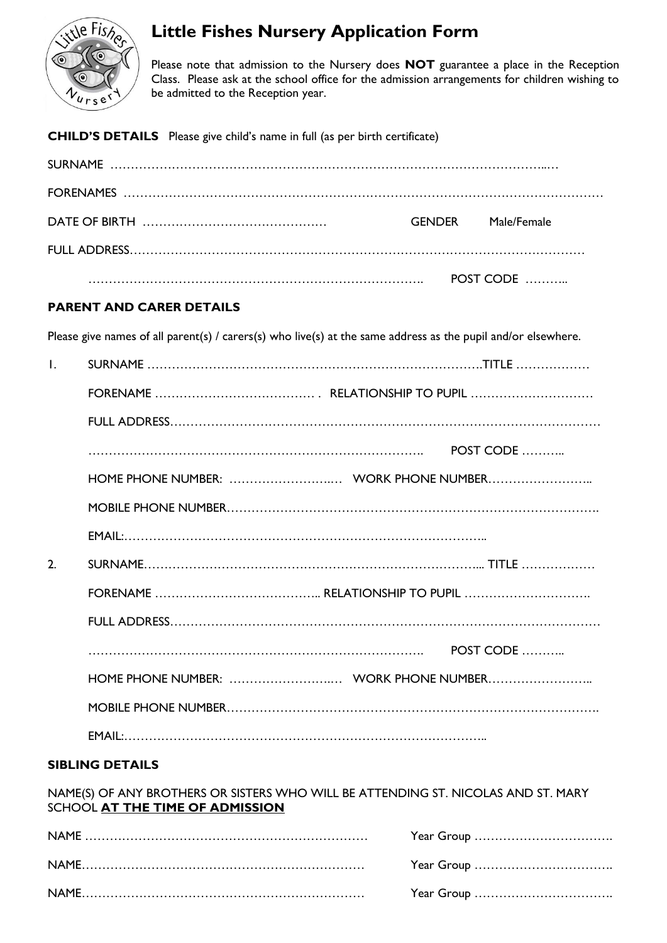

# **Little Fishes Nursery Application Form**

Please note that admission to the Nursery does **NOT** guarantee a place in the Reception Class. Please ask at the school office for the admission arrangements for children wishing to be admitted to the Reception year.

**CHILD'S DETAILS** Please give child's name in full (as per birth certificate)

| GFNDFR | Male/Female |
|--------|-------------|
|        |             |
|        | POST CODE   |

# **PARENT AND CARER DETAILS**

Please give names of all parent(s) / carers(s) who live(s) at the same address as the pupil and/or elsewhere.

| $\mathsf{L}$ |                                       |           |
|--------------|---------------------------------------|-----------|
|              |                                       |           |
|              |                                       |           |
|              |                                       | POST CODE |
|              | HOME PHONE NUMBER:  WORK PHONE NUMBER |           |
|              |                                       |           |
|              |                                       |           |
| 2.           |                                       |           |
|              |                                       |           |
|              |                                       |           |
|              |                                       | POST CODE |
|              | HOME PHONE NUMBER:  WORK PHONE NUMBER |           |
|              |                                       |           |
|              |                                       |           |

### **SIBLING DETAILS**

NAME(S) OF ANY BROTHERS OR SISTERS WHO WILL BE ATTENDING ST. NICOLAS AND ST. MARY SCHOOL **AT THE TIME OF ADMISSION**